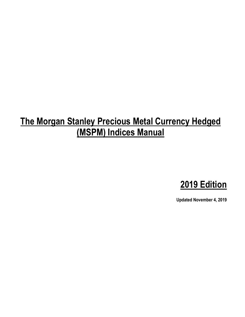# **The Morgan Stanley Precious Metal Currency Hedged (MSPM) Indices Manual**



**Updated November 4, 2019**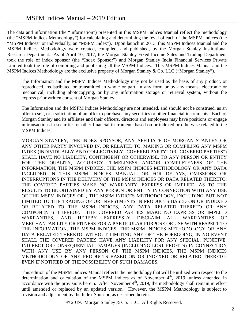The data and information (the "Information") presented in this MSPM Indices Manual reflect the methodology (the "MSPM Indices Methodology") for calculating and determining the level of each of the MSPM Indices (the "MSPM Indices" or individually, an "MSPM Index"). Upon launch in 2013, this MSPM Indices Manual and the MSPM Indices Methodology were created, compiled, and published, by the Morgan Stanley Institutional Research Department. As of April 10, 2017, the Morgan Stanley Fixed Income Sales and Trading Department took the role of index sponsor (the "Index Sponsor") and Morgan Stanley India Financial Services Private Limited took the role of compiling and publishing all the MSPM Indices. This MSPM Indices Manual and the MSPM Indices Methodology are the exclusive property of Morgan Stanley & Co. LLC ("Morgan Stanley").

The Information and the MSPM Indices Methodology may not be used as the basis of any product, or reproduced, redistributed or transmitted in whole or part, in any form or by any means, electronic or mechanical, including photocopying, or by any information storage or retrieval system, without the express prior written consent of Morgan Stanley.

The Information and the MSPM Indices Methodology are not intended, and should not be construed, as an offer to sell, or a solicitation of an offer to purchase, any securities or other financial instruments. Each of Morgan Stanley and its affiliates and their officers, directors and employees may have positions or engage in transactions in securities or other financial instruments based on or indexed or otherwise related to the MSPM Indices.

MORGAN STANLEY, THE INDEX SPONSOR, ANY AFFILIATE OF MORGAN STANLEY OR ANY OTHER PARTY INVOLVED IN, OR RELATED TO, MAKING OR COMPILING ANY MSPM INDEX (INDIVIDUALLY AND COLLECTIVELY "COVERED PARTY" OR "COVERED PARTIES") SHALL HAVE NO LIABILITY, CONTINGENT OR OTHERWISE, TO ANY PERSON OR ENTITY FOR THE QUALITY, ACCURACY, TIMELINESS AND/OR COMPLETENESS OF THE INFORMATION, THE MSPM INDICES, THE MSPM INDICES METHODOLOGY OR ANY DATA INCLUDED IN THIS MSPM INDICES MANUAL, OR FOR DELAYS, OMISSIONS OR INTERRUPTIONS IN THE DELIVERY OF THE MSPM INDICES OR DATA RELATED THERETO. THE COVERED PARTIES MAKE NO WARRANTY, EXPRESS OR IMPLIED, AS TO THE RESULTS TO BE OBTAINED BY ANY PERSON OR ENTITY IN CONNECTION WITH ANY USE OF THE MSPM INDICES OR , THE MSPM INDICES METHODOLOGY, INCLUDING BUT NOT LIMITED TO THE TRADING OF OR INVESTMENTS IN PRODUCTS BASED ON OR INDEXED OR RELATED TO THE MSPM INDICES, ANY DATA RELATED THERETO OR ANY COMPONENTS THEREOF. THE COVERED PARTIES MAKE NO EXPRESS OR IMPLIED WARRANTIES, AND HEREBY EXPRESSLY DISCLAIM ALL WARRANTIES OF MERCHANTABILITY OR FITNESS FOR A PARTICULAR PURPOSE OR USE WITH RESPECT TO THE INFORMATION, THE MSPM INDICES, THE MSPM INDICES METHODOLOGY OR ANY DATA RELATED THERETO. WITHOUT LIMITING ANY OF THE FOREGOING, IN NO EVENT SHALL THE COVERED PARTIES HAVE ANY LIABILITY FOR ANY SPECIAL, PUNITIVE, INDIRECT OR CONSEQUENTIAL DAMAGES (INCLUDING LOST PROFITS) IN CONNECTION WITH ANY USE BY ANY PERSON OF THE MSPM INDICES, THE MSPM INDICES METHODOLOGY OR ANY PRODUCTS BASED ON OR INDEXED OR RELATED THERETO, EVEN IF NOTIFIED OF THE POSSIBILITY OF SUCH DAMAGES.

This edition of the MSPM Indices Manual reflects the methodology that will be utilized with respect to the determination and calculation of the MSPM Indices as of November 4<sup>th</sup>, 2019, unless amended in accordance with the provisions herein. After November  $4<sup>th</sup>$ , 2019, the methodology shall remain in effect until amended or replaced by an updated version. However, the MSPM Methodology is subject to revision and adjustment by the Index Sponsor, as described herein.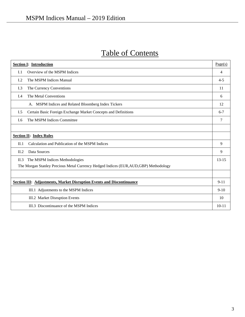# Table of Contents

| <b>Section I: Introduction</b>                                                        | Page(s)   |
|---------------------------------------------------------------------------------------|-----------|
| Overview of the MSPM Indices<br>I.1                                                   | 4         |
| L <sub>2</sub><br>The MSPM Indices Manual                                             | $4 - 5$   |
| The Currency Conventions<br>I.3                                                       | 11        |
| The Metal Conventions<br>I.4                                                          | 6         |
| A. MSPM Indices and Related Bloomberg Index Tickers                                   | 12        |
| Certain Basic Foreign Exchange Market Concepts and Definitions<br>I.5                 | $6 - 7$   |
| The MSPM Indices Committee<br>I.6                                                     | 7         |
|                                                                                       |           |
| <b>Section II: Index Rules</b>                                                        |           |
| Calculation and Publication of the MSPM Indices<br>II.1                               | 9         |
| II.2<br>Data Sources                                                                  | 9         |
| II.3<br>The MSPM Indices Methodologies                                                | $13 - 15$ |
| The Morgan Stanley Precious Metal Currency Hedged Indices (EUR, AUD, GBP) Methodology |           |
|                                                                                       |           |
| <b>Section III: Adjustments, Market Disruption Events and Discontinuance</b>          | $9 - 11$  |
| III.1 Adjustments to the MSPM Indices                                                 | $9-10$    |
| III.2 Market Disruption Events                                                        | 10        |
| III.3 Discontinuance of the MSPM Indices                                              | $10-11$   |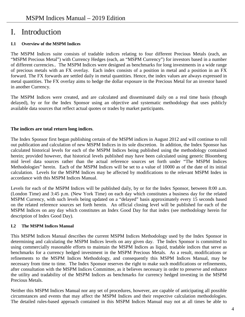### I. Introduction

### **I.1 Overview of the MSPM Indices**

The MSPM Indices suite consists of tradable indices relating to four different Precious Metals (each, an "MSPM Precious Metal") with Currency Hedges (each, an "MSPM Currency") for investors based in a number of different currencies.. The MSPM Indices were designed as benchmarks for long investments in a wide range of precious metals with an FX overlay. Each index consists of a position in metal and a position in an FX forward. The FX forwards are settled daily in metal quantities. Hence, the index values are always expressed in metal quantities. The FX overlay aims to hedge the dollar exposure in the Precious Metal for an investor based in another Currency.

The MSPM Indices were created, and are calculated and disseminated daily on a real time basis (though delayed), by or for the Index Sponsor using an objective and systematic methodology that uses publicly available data sources that reflect actual quotes or trades by market participants.

#### **The indices are total return long indices**.

The Index Sponsor first began publishing certain of the MSPM indices in August 2012 and will continue to roll out publication and calculation of new MSPM Indices in its sole discretion. In addition, the Index Sponsor has calculated historical levels for each of the MSPM Indices being published using the methodology contained herein; provided however, that historical levels published may have been calculated using generic Bloomberg mid level data sources rather than the actual reference sources set forth under "The MSPM Indices Methodologies" herein. Each of the MSPM Indices will be set to a value of 10000 as of the date of its initial calculation. Levels for the MSPM Indices may be affected by modifications to the relevant MSPM Index in accordance with this MSPM Indices Manual.

Levels for each of the MSPM Indices will be published daily, by or for the Index Sponsor, between 8:00 a.m. (London Time) and 3:45 p.m. (New York Time) on each day which constitutes a business day for the related MSPM Currency, with such levels being updated on a "delayed" basis approximately every 15 seconds based on the related reference sources set forth herein. An official closing level will be published for each of the MSPM Indices on any day which constitutes an Index Good Day for that index (see methodology herein for description of Index Good Day).

#### **I.2 The MSPM Indices Manual**

This MSPM Indices Manual describes the current MSPM Indices Methodology used by the Index Sponsor in determining and calculating the MSPM Indices levels on any given day. The Index Sponsor is committed to using commercially reasonable efforts to maintain the MSPM Indices as liquid, tradable indices that serve as benchmarks for a currency hedged investment in the MSPM Precious Metals. As a result, modifications or refinements to the MSPM Indices Methodology, and consequently this MSPM Indices Manual, may be necessary from time to time. The Index Sponsor reserves the right to make such modifications or refinements, after consultation with the MSPM Indices Committee, as it believes necessary in order to preserve and enhance the utility and tradability of the MSPM Indices as benchmarks for currency hedged investing in the MSPM Precious Metals.

Neither this MSPM Indices Manual nor any set of procedures, however, are capable of anticipating all possible circumstances and events that may affect the MSPM Indices and their respective calculation methodologies. The detailed rules-based approach contained in this MSPM Indices Manual may not at all times be able to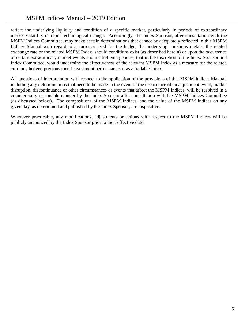reflect the underlying liquidity and condition of a specific market, particularly in periods of extraordinary market volatility or rapid technological change. Accordingly, the Index Sponsor, after consultation with the MSPM Indices Committee, may make certain determinations that cannot be adequately reflected in this MSPM Indices Manual with regard to a currency used for the hedge, the underlying precious metals, the related exchange rate or the related MSPM Index, should conditions exist (as described herein) or upon the occurrence of certain extraordinary market events and market emergencies, that in the discretion of the Index Sponsor and Index Committee, would undermine the effectiveness of the relevant MSPM Index as a measure for the related currency hedged precious metal investment performance or as a tradable index.

All questions of interpretation with respect to the application of the provisions of this MSPM Indices Manual, including any determinations that need to be made in the event of the occurrence of an adjustment event, market disruption, discontinuance or other circumstances or events that affect the MSPM Indices, will be resolved in a commercially reasonable manner by the Index Sponsor after consultation with the MSPM Indices Committee (as discussed below). The compositions of the MSPM Indices, and the value of the MSPM Indices on any given day, as determined and published by the Index Sponsor, are dispositive.

Wherever practicable, any modifications, adjustments or actions with respect to the MSPM Indices will be publicly announced by the Index Sponsor prior to their effective date.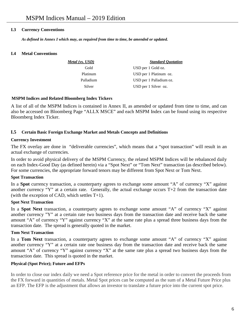#### **I.3 Currency Conventions**

 *As defined in Annex I which may, as required from time to time, be amended or updated.* 

#### **I.4 Metal Conventions**

| Metal (vs. USD) | <b>Standard Ouotation</b> |
|-----------------|---------------------------|
| Gold            | USD per 1 Gold oz.        |
| Platinum        | USD per 1 Platinum oz.    |
| Palladium       | USD per 1 Palladium oz.   |
| Silver          | USD per 1 Silver oz.      |

#### **MSPM Indices and Related Bloomberg Index Tickers**

A list of all of the MSPM Indices is contained in Annex II, as amended or updated from time to time, and can also be accessed on Bloomberg Page "ALLX MSCE" and each MSPM Index can be found using its respective Bloomberg Index Ticker.

#### **I.5 Certain Basic Foreign Exchange Market and Metals Concepts and Definitions**

#### **Currency Investment**

The FX overlay are done in "deliverable currencies", which means that a "spot transaction" will result in an actual exchange of currencies.

In order to avoid physical delivery of the MSPM Currency, the related MSPM Indices will be rebalanced daily on each Index-Good Day (as defined herein) via a "Spot Next" or "Tom Next" transaction (as described below). For some currencies, the appropriate forward tenors may be different from Spot Next or Tom Next.

#### **Spot Transaction**

In a **Spot** currency transaction, a counterparty agrees to exchange some amount "A" of currency "X" against another currency "Y" at a certain rate. Generally, the actual exchange occurs T+2 from the transaction date (with the exception of CAD, which settles T+1).

#### **Spot Next Transaction**

In a **Spot Next** transaction, a counterparty agrees to exchange some amount "A" of currency "X" against another currency "Y" at a certain rate two business days from the transaction date and receive back the same amount "A" of currency "Y" against currency "X" at the same rate plus a spread three business days from the transaction date. The spread is generally quoted in the market.

#### **Tom Next Transaction**

In a **Tom Next** transaction, a counterparty agrees to exchange some amount "A" of currency "X" against another currency "Y" at a certain rate one business day from the transaction date and receive back the same amount "A" of currency "Y" against currency "X" at the same rate plus a spread two business days from the transaction date. This spread is quoted in the market.

#### **Physical (Spot Price); Future and EFPs**

In order to close our index daily we need a Spot reference price for the metal in order to convert the proceeds from the FX forward in quantities of metals. Metal Spot prices can be computed as the sum of a Metal Future Price plus an EFP. The EFP is the adjustment that allows an investor to translate a future price into the current spot price.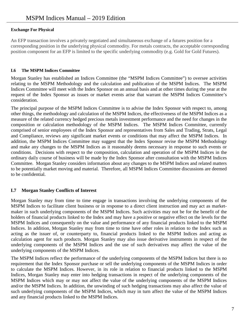#### **Exchange For Physical**

An EFP transaction involves a privately negotiated and simultaneous exchange of a futures position for a corresponding position in the underlying physical commodity. For metals contracts, the acceptable corresponding position component for an EFP is limited to the specific underlying commodity (e.g. Gold for Gold Futures).

#### **I.6 The MSPM Indices Committee**

Morgan Stanley has established an Indices Committee (the "MSPM Indices Committee") to oversee activities relating to the MSPM Methodology and the calculation and publication of the MSPM Indices. The MSPM Indices Committee will meet with the Index Sponsor on an annual basis and at other times during the year at the request of the Index Sponsor as issues or market events arise that warrant the MSPM Indices Committee's consideration.

The principal purpose of the MSPM Indices Committee is to advise the Index Sponsor with respect to, among other things, the methodology and calculation of the MSPM Indices, the effectiveness of the MSPM Indices as a measure of the related currency hedged precious metals investment performance and the need for changes in the composition or calculation methodology of the MSPM Indices. The MSPM Indices Committee, currently comprised of senior employees of the Index Sponsor and representatives from Sales and Trading, Strats, Legal and Compliance, reviews any significant market events or conditions that may affect the MSPM Indices. In addition, the MSPM Indices Committee may suggest that the Index Sponsor revise the MSPM Methodology and make any changes to the MSPM Indices as it reasonably deems necessary in response to such events or conditions. Decisions with respect to the composition, calculation and operation of the MSPM Indices in the ordinary daily course of business will be made by the Index Sponsor after consultation with the MSPM Indices Committee. Morgan Stanley considers information about any changes to the MSPM Indices and related matters to be potentially market moving and material. Therefore, all MSPM Indices Committee discussions are deemed to be confidential.

### **I.7 Morgan Stanley Conflicts of Interest**

Morgan Stanley may from time to time engage in transactions involving the underlying components of the MSPM Indices to facilitate client business or in response to a direct client instruction and may act as marketmaker in such underlying components of the MSPM Indices. Such activities may not be for the benefit of the holders of financial products linked to the Index and may have a positive or negative effect on the levels for the MSPM Indices and consequently on the value and performance of any financial products linked to the MSPM Indices. In addition, Morgan Stanley may from time to time have other roles in relation to the Index such as acting as the issuer of, or counterparty to, financial products linked to the MSPM Indices and acting as calculation agent for such products. Morgan Stanley may also issue derivative instruments in respect of the underlying components of the MSPM Indices and the use of such derivatives may affect the value of the underlying components of the MSPM Indices.

The MSPM Indices reflect the performance of the underlying components of the MSPM Indices but there is no requirement that the Index Sponsor purchase or sell the underlying components of the MSPM Indices in order to calculate the MSPM Indices. However, in its role in relation to financial products linked to the MSPM Indices, Morgan Stanley may enter into hedging transactions in respect of the underlying components of the MSPM Indices which may or may not affect the value of the underlying components of the MSPM Indices and/or the MSPM Indices. In addition, the unwinding of such hedging transactions may also affect the value of such underlying components of the MSPM Indices, which may in turn affect the value of the MSPM Indices and any financial products linked to the MSPM Indices.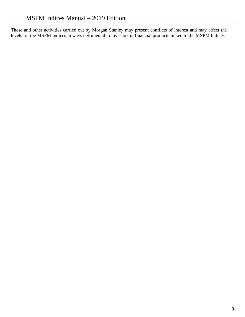These and other activities carried out by Morgan Stanley may present conflicts of interest and may affect the levels for the MSPM Indices in ways detrimental to investors in financial products linked to the MSPM Indices.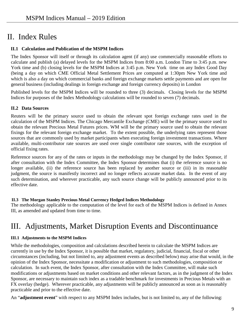## II. Index Rules

#### **II.1 Calculation and Publication of the MSPM Indices**

The Index Sponsor will itself or through its calculation agent (if any) use commercially reasonable efforts to calculate and publish (a) delayed levels for the MSPM Indices from 8:00 a.m. London Time to 3:45 p.m. new York time and (b) closing levels for the MSPM Indices at 3:45 p.m. New York time on any Index Good Day (being a day on which CME Official Metal Settlement Prices are computed at 1:30pm New York time and which is also a day on which commercial banks and foreign exchange markets settle payments and are open for general business (including dealings in foreign exchange and foreign currency deposits) in London

Published levels for the MSPM Indices will be rounded to three (3) decimals. Closing levels for the MSPM Indices for purposes of the Index Methodology calculations will be rounded to seven (7) decimals.

### **II.2 Data Sources**

Reuters will be the primary source used to obtain the relevant spot foreign exchange rates used in the calculation of the MSPM Indices. The Chicago Mercantile Exchange (CME) will be the primary source used to obtain the relevant Precious Metal Futures prices. WM will be the primary source used to obtain the relevant fixings for the relevant foreign exchange market. To the extent possible, the underlying rates represent those sources that are commonly used by market participants when executing foreign investment transactions. Where available, multi-contributor rate sources are used over single contributor rate sources, with the exception of official fixing rates.

Reference sources for any of the rates or inputs in the methodology may be changed by the Index Sponsor, if after consultation with the Index Committee, the Index Sponsor determines that (i) the reference source is no longer available, (ii) the reference source has been replaced by another source or (iii) in its reasonable judgment, the source is manifestly incorrect and no longer reflects accurate market data. In the event of any such determination, and wherever practicable, any such source change will be publicly announced prior to its effective date.

#### **II.3 The Morgan Stanley Precious Metal Currency Hedged Indices Methodology**

The methodology applicable to the computation of the level for each of the MSPM Indices is defined in Annex III, as amended and updated from time to time.

# III. Adjustments, Market Disruption Events and Discontinuance

#### **III.1 Adjustments to the MSPM Indices**

While the methodologies, composition and calculations described herein to calculate the MSPM Indices are currently in use by the Index Sponsor, it is possible that market, regulatory, judicial, financial, fiscal or other circumstances (including, but not limited to, any adjustment events as described below) may arise that would, in the opinion of the Index Sponsor, necessitate a modification or adjustment to such methodologies, composition or calculation. In such event, the Index Sponsor, after consultation with the Index Committee, will make such modifications or adjustments based on market conditions and other relevant factors, as in the judgment of the Index Sponsor, are necessary to maintain such index as a tradable benchmark for investments in Precious Metals with an FX overlay (hedge). Wherever practicable, any adjustments will be publicly announced as soon as is reasonably practicable and prior to the effective date.

An "**adjustment event**" with respect to any MSPM Index includes, but is not limited to, any of the following: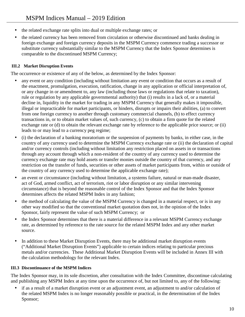- the related exchange rate splits into dual or multiple exchange rates; or
- the related currency has been removed from circulation or otherwise discontinued and banks dealing in foreign exchange and foreign currency deposits in the MSPM Currency commence trading a successor or substitute currency substantially similar to the MSPM Currency that the Index Sponsor determines is comparable to the discontinued MSPM Currency;

#### **III.2 Market Disruption Events**

The occurrence or existence of any of the below, as determined by the Index Sponsor:

- any event or any condition (including without limitation any event or condition that occurs as a result of the enactment, promulgation, execution, ratification, change in any application or official interpretation of, or any change in or amendment to, any law (including those laws or regulations that relate to taxation), rule or regulation by any applicable governmental authority) that (i) results in a lack of, or a material decline in, liquidity in the market for trading in any MSPM Currency that generally makes it impossible, illegal or impracticable for market participants, or hinders, disrupts or impairs their abilities, (a) to convert from one foreign currency to another through customary commercial channels, (b) to effect currency transactions in, or to obtain market values of, such currency, (c) to obtain a firm quote for the related exchange rate or (d) to obtain the relevant exchange rate by reference to the applicable price source; or (ii) leads to or may lead to a currency peg regime;
- (i) the declaration of a banking moratorium or the suspension of payments by banks, in either case, in the country of any currency used to determine the MSPM Currency exchange rate or (ii) the declaration of capital and/or currency controls (including without limitation any restriction placed on assets in or transactions through any account through which a non-resident of the country of any currency used to determine the currency exchange rate may hold assets or transfer monies outside the country of that currency, and any restriction on the transfer of funds, securities or other assets of market participants from, within or outside of the country of any currency used to determine the applicable exchange rate);
- an event or circumstance (including without limitation, a systems failure, natural or man-made disaster, act of God, armed conflict, act of terrorism, riot or labor disruption or any similar intervening circumstance) that is beyond the reasonable control of the Index Sponsor and that the Index Sponsor determines affects the related MSPM Index in any fashion;
- the method of calculating the value of the MSPM Currency is changed in a material respect, or is in any other way modified so that the conventional market quotation does not, in the opinion of the Index Sponsor, fairly represent the value of such MSPM Currency; or
- the Index Sponsor determines that there is a material difference in a relevant MSPM Currency exchange rate, as determined by reference to the rate source for the related MSPM Index and any other market source.
- In addition to these Market Disruption Events, there may be additional market disruption events ("Additional Market Disruption Events") applicable to certain indices relating to particular precious metals and/or currencies. These Additional Market Disruption Events will be included in Annex III with the calculation methodology for the relevant Index.

### **III.3 Discontinuance of the MSPM Indices**

The Index Sponsor may, in its sole discretion, after consultation with the Index Committee, discontinue calculating and publishing any MSPM Index at any time upon the occurrence of, but not limited to, any of the following:

• if as a result of a market disruption event or an adjustment event, an adjustment to and/or calculation of the related MSPM Index is no longer reasonably possible or practical, in the determination of the Index Sponsor;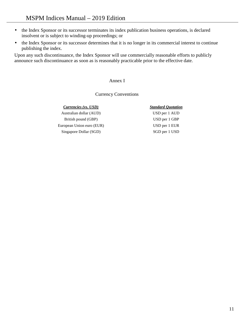- the Index Sponsor or its successor terminates its index publication business operations, is declared insolvent or is subject to winding-up proceedings; or
- the Index Sponsor or its successor determines that it is no longer in its commercial interest to continue publishing the index.

Upon any such discontinuance, the Index Sponsor will use commercially reasonable efforts to publicly announce such discontinuance as soon as is reasonably practicable prior to the effective date.

#### Annex I

#### Currency Conventions

*Currencies (vs. USD) Standard Quotation* 

Australian dollar (AUD) USD per 1 AUD British pound (GBP) USD per 1 GBP European Union euro (EUR) USD per 1 EUR Singapore Dollar (SGD) SGD per 1 USD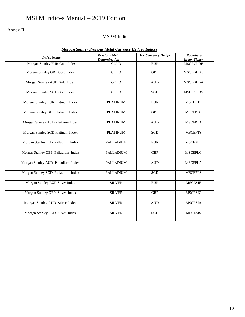### Annex II

### MSPM Indices

| <b>Morgan Stanley Precious Metal Currency Hedged Indices</b> |                                              |                          |                                         |  |
|--------------------------------------------------------------|----------------------------------------------|--------------------------|-----------------------------------------|--|
| <b>Index Name</b>                                            | <b>Precious Metal</b><br><b>Denomination</b> | <b>FX Currency Hedge</b> | <b>Bloomberg</b><br><b>Index Ticker</b> |  |
| Morgan Stanley EUR Gold Index                                | GOLD                                         | <b>EUR</b>               | <b>MSCEGLDE</b>                         |  |
| Morgan Stanley GBP Gold Index                                | GOLD                                         | GBP                      | <b>MSCEGLDG</b>                         |  |
| Morgan Stanley AUD Gold Index                                | <b>GOLD</b>                                  | <b>AUD</b>               | <b>MSCEGLDA</b>                         |  |
| Morgan Stanley SGD Gold Index                                | GOLD                                         | SGD                      | <b>MSCEGLDS</b>                         |  |
| Morgan Stanley EUR Platinum Index                            | <b>PLATINUM</b>                              | <b>EUR</b>               | <b>MSCEPTE</b>                          |  |
| Morgan Stanley GBP Platinum Index                            | <b>PLATINUM</b>                              | <b>GBP</b>               | <b>MSCEPTG</b>                          |  |
| Morgan Stanley AUD Platinum Index                            | <b>PLATINUM</b>                              | <b>AUD</b>               | <b>MSCEPTA</b>                          |  |
| Morgan Stanley SGD Platinum Index                            | <b>PLATINUM</b>                              | SGD                      | <b>MSCEPTS</b>                          |  |
| Morgan Stanley EUR Palladium Index                           | <b>PALLADIUM</b>                             | <b>EUR</b>               | <b>MSCEPLE</b>                          |  |
| Morgan Stanley GBP Palladium Index                           | <b>PALLADIUM</b>                             | GBP                      | <b>MSCEPLG</b>                          |  |
| Morgan Stanley AUD Palladium Index                           | <b>PALLADIUM</b>                             | <b>AUD</b>               | <b>MSCEPLA</b>                          |  |
| Morgan Stanley SGD Palladium Index                           | <b>PALLADIUM</b>                             | <b>SGD</b>               | <b>MSCEPLS</b>                          |  |
| Morgan Stanley EUR Silver Index                              | <b>SILVER</b>                                | <b>EUR</b>               | <b>MSCESIE</b>                          |  |
| Morgan Stanley GBP Silver Index                              | <b>SILVER</b>                                | GBP                      | <b>MSCESIG</b>                          |  |
| Morgan Stanley AUD Silver Index                              | <b>SILVER</b>                                | <b>AUD</b>               | <b>MSCESIA</b>                          |  |
| Morgan Stanley SGD Silver Index                              | <b>SILVER</b>                                | <b>SGD</b>               | <b>MSCESIS</b>                          |  |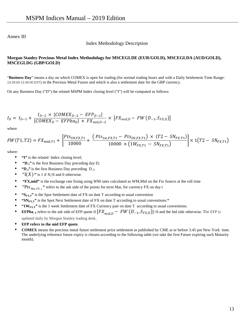#### Annex III

Index Methodology Description

#### **Morgan Stanley Precious Metal Index Methodology for MSCEGLDE (EUR/GOLD), MSCEGLDA (AUD/GOLD), MSCEGLDG (GBP/GOLD)**

"**Business Day**" means a day on which COMEX is open for trading (for normal trading hours and with a Daily Settlement Time Range: 13:29:00-13:30:00 EST) in the Precious Metal Future and which is also a settlement date for the GBP currency.

On any Business Day ("D") the related MSPM Index closing level ("I") will be computed as follows:

$$
I_D = I_{D-1} + \frac{I_{D-2} \times [COMEX_{D-2} - EFP_{D-2}]}{[COMEX_D - EFPba_D] \times FX_{mid,D-2}} \times [FX_{mid,D} - FW (D_{-1}, S_{FX,D})]
$$

where

$$
FW(T1,T2) = FX_{mid,T1} + \left[ \frac{Pts_{SN,FX,T1}}{10000} + \frac{(Pts_{1w,FX,T1} - pts_{SN,FX,T1}) \times (T2 - SN_{FX,T1})}{10000 \times (1W_{FX,T1} - SN_{FX,T1})} \right] \times 1(T2 - SN_{FX,T1})
$$

where:

- **"I"** is the related Index closing level;
- • **"D-1"** is the first Business Day preceding day D;
- **"D-2"** is the first Business Day preceding D-1;
- (1" *X* ) **"** is 1 if X≥0 and 0 otherwise.
- • **"FX,mid"** is the exchange rate fixing using WM rates calculated as WM,Mid on the Fix Source at the roll time
- *Here*  $H$ **Ex**  $_{Mat, FX, t}$  **"** refers to the ask side of the points for term Mat, for currency FX on day t
- **"SFX,T**" is the Spot Settlement date of FX on date T according to usual convention
- **"SN<sub>FX</sub>T"** is the Spot Next Settlement date of FX on date T according to usual conventions."
- **"1WFX,T"** is the 1 week Settlement date of FX Currency pair on date T according to usual conventions.
- **EFPba**,  $\text{T}$  refers to the ask side of EFP quote if  $[FX_{mid,D} FW (D_{-1}, S_{FX,D})]$ <0 and the bid side otherwise. The EFP is updated daily by Morgan Stanley trading desk.
- **EFP refers to the mid EFP quote**.
- **COMEX** means the precious metal future settlement price settlement as published by CME at or before 3.45 pm New York time. The underlying reference future expiry is chosen according to the following table (we take the first Future expiring such Maturity month).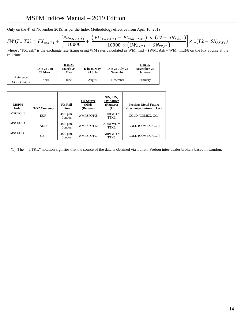### MSPM Indices Manual – 2019 Edition

Only on the 4<sup>th</sup> of November 2019, as per the Index Methodology effective from April 10, 2019,

$$
FW(T1, T2) = FX_{ask,T1} + \left[ \frac{pts_{SN,FX,T1}}{10000} + \frac{\left(Pts_{1W,FX,T1} - Pts_{SN,FX,T1}\right) \times (T2 - SN_{FX,T1})}{10000 \times \left(1W_{FX,T1} - SN_{FX,T1}\right)} \right] \times 1(T2 - SN_{FX,T1})
$$

where . "FX, ask" is the exchange rate fixing using WM rates calculated as WM, mid + (WM, Ask – WM, mid)/8 on the Fix Source at the roll time

|                                 | <b>D</b> in 25 Jan-<br>24 March | $D$ in 25<br>March-24<br>May | <b>D</b> in 25 May-<br>24 July | D in 25 July-24<br><b>November</b> | $D$ in 25<br>November-24<br>January |
|---------------------------------|---------------------------------|------------------------------|--------------------------------|------------------------------------|-------------------------------------|
| Reference<br><b>GOLD Future</b> | April                           | June                         | August                         | December                           | February                            |

| <b>MSPM</b><br><b>Index</b> | "FX" Currency | <b>FX Roll</b><br>Time | <b>Fix Source</b><br>(Mid)<br>(Reuters) | $S/N$ , $T/N$ ,<br><b>1W Source</b><br>(Reuters) | <b>Precious Metal Future</b><br>(Exchange, Future ticker) |
|-----------------------------|---------------|------------------------|-----------------------------------------|--------------------------------------------------|-----------------------------------------------------------|
| <b>MSCEGLE</b>              | <b>EUR</b>    | $4:00$ p.m.<br>London  | WMRSPOT05                               | $EURFWD =$<br><b>TTKL</b>                        | GOLD (COMEX, GC.)                                         |
| <b>MSCEGLA</b>              | <b>AUD</b>    | $4:00$ p.m.<br>London  | WMRSPOT12                               | $AUDFWD =$<br>TTKL                               | GOLD (COMEX, GC)                                          |
| <b>MSCEGLG</b>              | <b>GBP</b>    | 4:00 p.m.<br>London    | WMRSPOT07                               | $GBPFWD =$<br><b>TTKL</b>                        | GOLD (COMEX, GC)                                          |

(1) The "=TTKL" notation signifies that the source of the data is obtained via Tullett, Prebon inter-dealer brokers based in London.